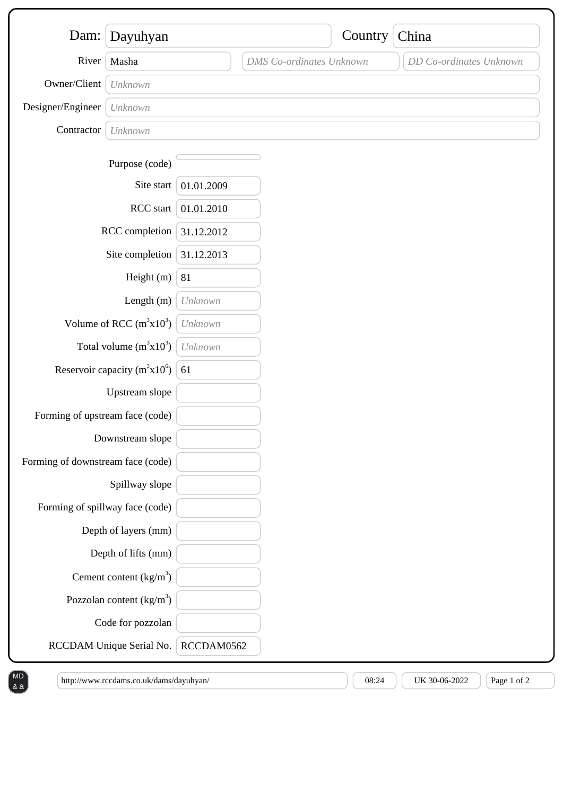| Dam:                              | Dayuhyan                 |            |                                 | Country | China                   |
|-----------------------------------|--------------------------|------------|---------------------------------|---------|-------------------------|
| River                             | Masha                    |            | <b>DMS</b> Co-ordinates Unknown |         | DD Co-ordinates Unknown |
| Owner/Client                      | Unknown                  |            |                                 |         |                         |
| Designer/Engineer                 |                          |            |                                 |         |                         |
| Contractor                        | Unknown                  |            |                                 |         |                         |
|                                   | Unknown                  |            |                                 |         |                         |
|                                   | Purpose (code)           |            |                                 |         |                         |
|                                   | Site start               | 01.01.2009 |                                 |         |                         |
| RCC start                         |                          | 01.01.2010 |                                 |         |                         |
| RCC completion                    |                          | 31.12.2012 |                                 |         |                         |
| Site completion                   |                          | 31.12.2013 |                                 |         |                         |
| Height (m)                        |                          | 81         |                                 |         |                         |
| Length $(m)$                      |                          | Unknown    |                                 |         |                         |
| Volume of RCC $(m^3x10^3)$        |                          | Unknown    |                                 |         |                         |
| Total volume $(m^3x10^3)$         |                          | Unknown    |                                 |         |                         |
| Reservoir capacity $(m^3x10^6)$   |                          | 61         |                                 |         |                         |
| Upstream slope                    |                          |            |                                 |         |                         |
| Forming of upstream face (code)   |                          |            |                                 |         |                         |
| Downstream slope                  |                          |            |                                 |         |                         |
| Forming of downstream face (code) |                          |            |                                 |         |                         |
| Spillway slope                    |                          |            |                                 |         |                         |
| Forming of spillway face (code)   |                          |            |                                 |         |                         |
| Depth of layers (mm)              |                          |            |                                 |         |                         |
|                                   | Depth of lifts (mm)      |            |                                 |         |                         |
|                                   | Cement content $(kg/m3)$ |            |                                 |         |                         |
| Pozzolan content $(kg/m3)$        |                          |            |                                 |         |                         |
|                                   | Code for pozzolan        |            |                                 |         |                         |
| RCCDAM Unique Serial No.          |                          | RCCDAM0562 |                                 |         |                         |

http://www.rccdams.co.uk/dams/dayuhyan/  $08:24$   $\bigcup$  08:24 UK 30-06-2022  $\bigcap$  Page 1 of 2

& a